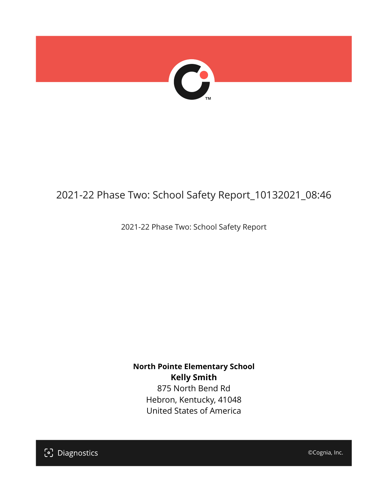

## 2021-22 Phase Two: School Safety Report\_10132021\_08:46

2021-22 Phase Two: School Safety Report

**North Pointe Elementary School Kelly Smith** 875 North Bend Rd

Hebron, Kentucky, 41048 United States of America

[၁] Diagnostics

©Cognia, Inc.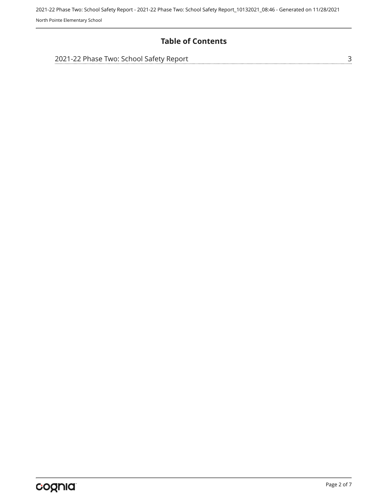#### **Table of Contents**

| 2021-22 Phase Two: School Safety Report |  |
|-----------------------------------------|--|
|                                         |  |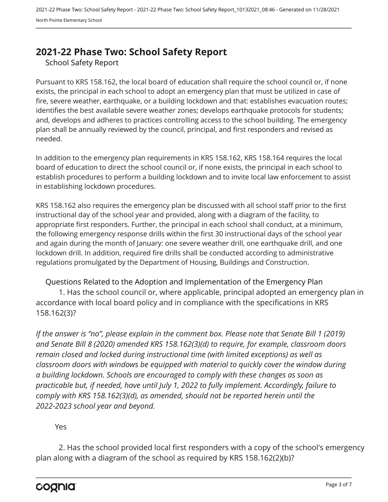### <span id="page-2-0"></span>**2021-22 Phase Two: School Safety Report**

School Safety Report

Pursuant to KRS 158.162, the local board of education shall require the school council or, if none exists, the principal in each school to adopt an emergency plan that must be utilized in case of fire, severe weather, earthquake, or a building lockdown and that: establishes evacuation routes; identifies the best available severe weather zones; develops earthquake protocols for students; and, develops and adheres to practices controlling access to the school building. The emergency plan shall be annually reviewed by the council, principal, and first responders and revised as needed.

In addition to the emergency plan requirements in KRS 158.162, KRS 158.164 requires the local board of education to direct the school council or, if none exists, the principal in each school to establish procedures to perform a building lockdown and to invite local law enforcement to assist in establishing lockdown procedures.

KRS 158.162 also requires the emergency plan be discussed with all school staff prior to the first instructional day of the school year and provided, along with a diagram of the facility, to appropriate first responders. Further, the principal in each school shall conduct, at a minimum, the following emergency response drills within the first 30 instructional days of the school year and again during the month of January: one severe weather drill, one earthquake drill, and one lockdown drill. In addition, required fire drills shall be conducted according to administrative regulations promulgated by the Department of Housing, Buildings and Construction.

Questions Related to the Adoption and Implementation of the Emergency Plan 1. Has the school council or, where applicable, principal adopted an emergency plan in accordance with local board policy and in compliance with the specifications in KRS 158.162(3)?

*If the answer is "no", please explain in the comment box. Please note that Senate Bill 1 (2019) and Senate Bill 8 (2020) amended KRS 158.162(3)(d) to require, for example, classroom doors remain closed and locked during instructional time (with limited exceptions) as well as classroom doors with windows be equipped with material to quickly cover the window during a building lockdown. Schools are encouraged to comply with these changes as soon as practicable but, if needed, have until July 1, 2022 to fully implement. Accordingly, failure to comply with KRS 158.162(3)(d), as amended, should not be reported herein until the 2022-2023 school year and beyond.*

#### Yes

2. Has the school provided local first responders with a copy of the school's emergency plan along with a diagram of the school as required by KRS 158.162(2)(b)?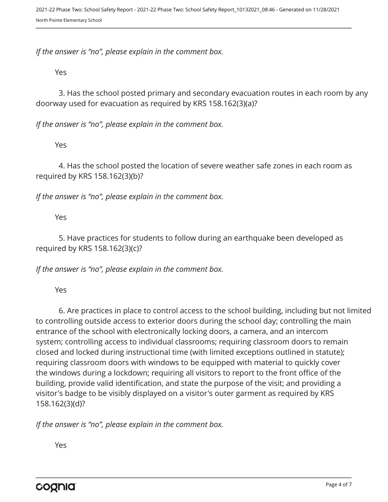*If the answer is "no", please explain in the comment box.*

Yes

3. Has the school posted primary and secondary evacuation routes in each room by any doorway used for evacuation as required by KRS 158.162(3)(a)?

*If the answer is "no", please explain in the comment box.*

Yes

4. Has the school posted the location of severe weather safe zones in each room as required by KRS 158.162(3)(b)?

*If the answer is "no", please explain in the comment box.*

Yes

5. Have practices for students to follow during an earthquake been developed as required by KRS 158.162(3)(c)?

*If the answer is "no", please explain in the comment box.*

Yes

6. Are practices in place to control access to the school building, including but not limited to controlling outside access to exterior doors during the school day; controlling the main entrance of the school with electronically locking doors, a camera, and an intercom system; controlling access to individual classrooms; requiring classroom doors to remain closed and locked during instructional time (with limited exceptions outlined in statute); requiring classroom doors with windows to be equipped with material to quickly cover the windows during a lockdown; requiring all visitors to report to the front office of the building, provide valid identification, and state the purpose of the visit; and providing a visitor's badge to be visibly displayed on a visitor's outer garment as required by KRS 158.162(3)(d)?

*If the answer is "no", please explain in the comment box.*

Yes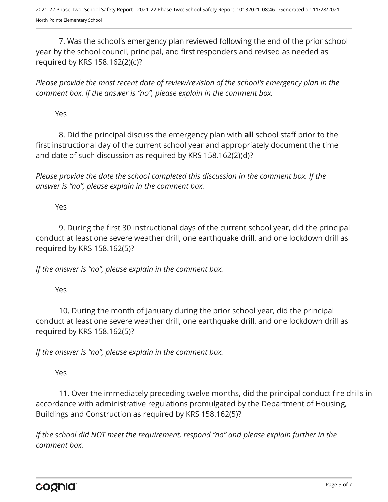7. Was the school's emergency plan reviewed following the end of the prior school year by the school council, principal, and first responders and revised as needed as required by KRS 158.162(2)(c)?

*Please provide the most recent date of review/revision of the school's emergency plan in the comment box. If the answer is "no", please explain in the comment box.* 

Yes

8. Did the principal discuss the emergency plan with **all** school staff prior to the first instructional day of the current school year and appropriately document the time and date of such discussion as required by KRS 158.162(2)(d)?

*Please provide the date the school completed this discussion in the comment box. If the answer is "no", please explain in the comment box.*

Yes

9. During the first 30 instructional days of the current school year, did the principal conduct at least one severe weather drill, one earthquake drill, and one lockdown drill as required by KRS 158.162(5)?

*If the answer is "no", please explain in the comment box.*

Yes

10. During the month of January during the prior school year, did the principal conduct at least one severe weather drill, one earthquake drill, and one lockdown drill as required by KRS 158.162(5)?

*If the answer is "no", please explain in the comment box.*

Yes

11. Over the immediately preceding twelve months, did the principal conduct fire drills in accordance with administrative regulations promulgated by the Department of Housing, Buildings and Construction as required by KRS 158.162(5)?

*If the school did NOT meet the requirement, respond "no" and please explain further in the comment box.*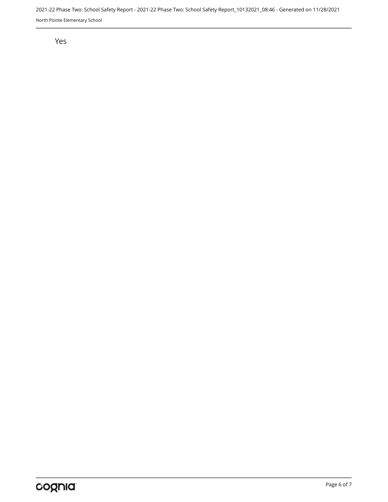2021-22 Phase Two: School Safety Report - 2021-22 Phase Two: School Safety Report\_10132021\_08:46 - Generated on 11/28/2021 North Pointe Elementary School

#### Yes